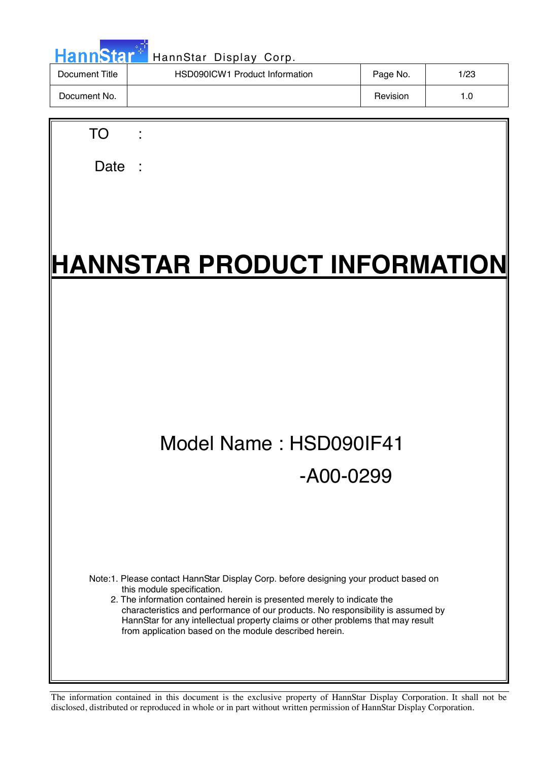| <b>HannStar</b> | HannStar Display Corp.         |          |      |
|-----------------|--------------------------------|----------|------|
| Document Title  | HSD090ICW1 Product Information | Page No. | 1/23 |
| Document No.    |                                | Revision | 1.0  |
|                 |                                |          |      |

Date :

TO :

# **HANNSTAR PRODUCT INFORMATION**

## Model Name : HSD090IF41 -A00-0299

Note:1. Please contact HannStar Display Corp. before designing your product based on this module specification.

2. The information contained herein is presented merely to indicate the characteristics and performance of our products. No responsibility is assumed by HannStar for any intellectual property claims or other problems that may result from application based on the module described herein.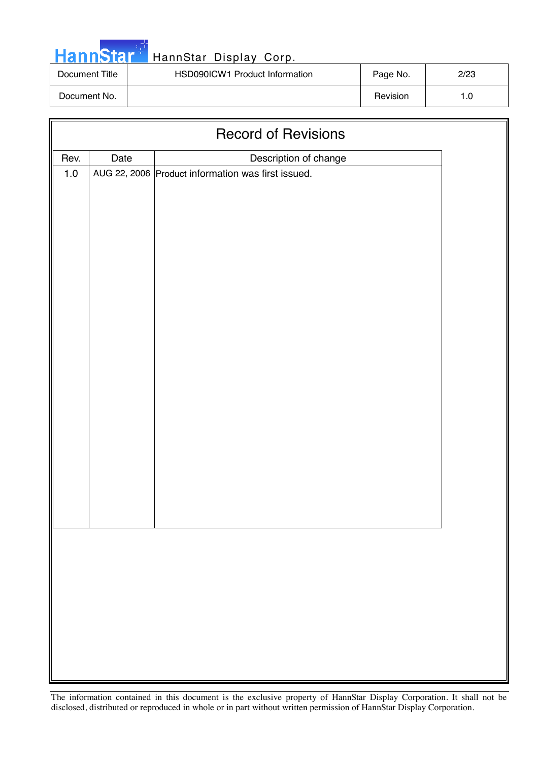| <b>HannStar</b> |  |
|-----------------|--|

### HannStar Display Corp.

| Document Title | HSD090ICW1 Product Information | Page No. | 2/23 |
|----------------|--------------------------------|----------|------|
| Document No.   |                                | Revision |      |

| <b>Record of Revisions</b> |      |                                                    |  |  |
|----------------------------|------|----------------------------------------------------|--|--|
| Rev.                       | Date | Description of change                              |  |  |
| $1.0\,$                    |      | AUG 22, 2006 Product information was first issued. |  |  |
|                            |      |                                                    |  |  |
|                            |      |                                                    |  |  |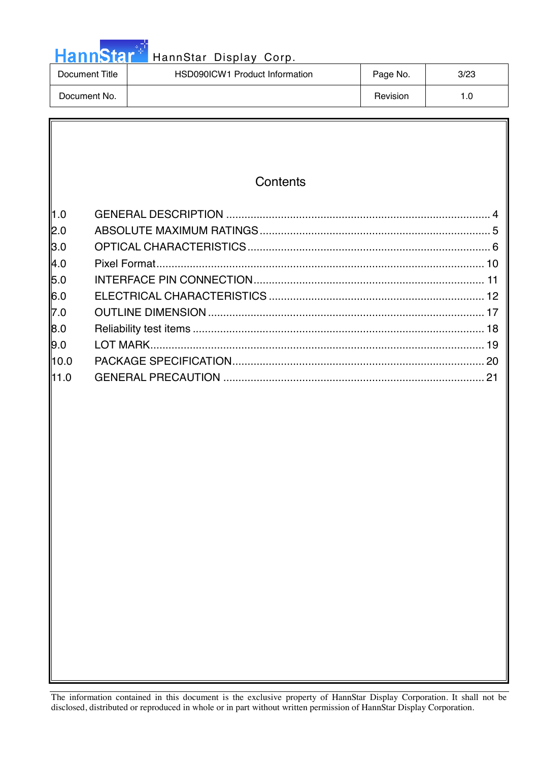## HannStar<sup>t HannStar Display Corp.</sup>

| Document Title | HSD090ICW1 Product Information | Page No. | 3/23 |
|----------------|--------------------------------|----------|------|
| Document No.   |                                | Revision |      |

|                                                                               | Contents                  |    |
|-------------------------------------------------------------------------------|---------------------------|----|
| l1.0<br> 2.0<br>3.0<br>4.0<br>5.0<br>6.0<br>7.0<br>8.0<br>9.0<br>10.0<br>11.0 | Pixel Format<br>LOT MARK. | 21 |
|                                                                               |                           |    |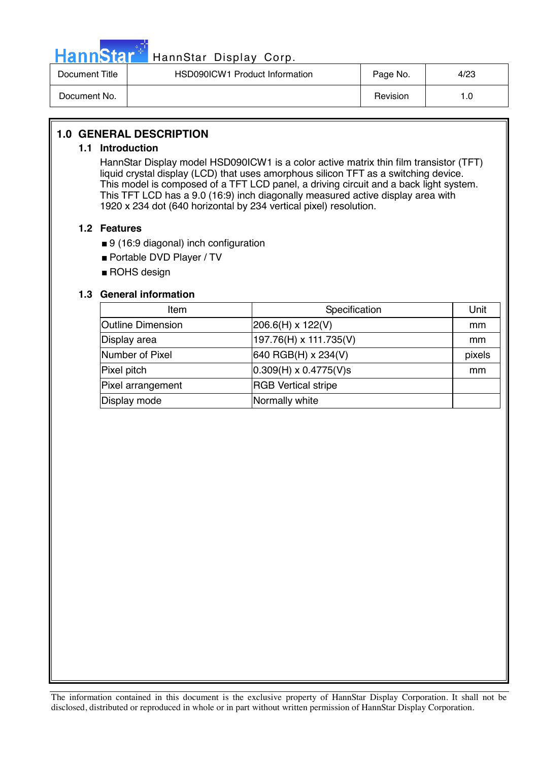

### HannStar<sup>t HannStar</sup> Display Corp.

| Document Title | HSD090ICW1 Product Information | Page No. | 4/23 |
|----------------|--------------------------------|----------|------|
| Document No.   |                                | Revision | . .0 |

### **1.0 GENERAL DESCRIPTION**

### **1.1 Introduction**

HannStar Display model HSD090ICW1 is a color active matrix thin film transistor (TFT) liquid crystal display (LCD) that uses amorphous silicon TFT as a switching device. This model is composed of a TFT LCD panel, a driving circuit and a back light system. This TFT LCD has a 9.0 (16:9) inch diagonally measured active display area with 1920 x 234 dot (640 horizontal by 234 vertical pixel) resolution.

### **1.2 Features**

- 9 (16:9 diagonal) inch configuration
- Portable DVD Player / TV
- ROHS design

### **1.3 General information**

| Item                     | Specification                       | Unit   |
|--------------------------|-------------------------------------|--------|
| <b>Outline Dimension</b> | 206.6(H) x 122(V)                   | mm     |
| Display area             | 197.76(H) x 111.735(V)              | mm     |
| Number of Pixel          | $ 640 \text{ RGB(H)} \times 234(V)$ | pixels |
| Pixel pitch              | $ 0.309(H) \times 0.4775(V)$ s      | mm     |
| Pixel arrangement        | <b>RGB</b> Vertical stripe          |        |
| Display mode             | Normally white                      |        |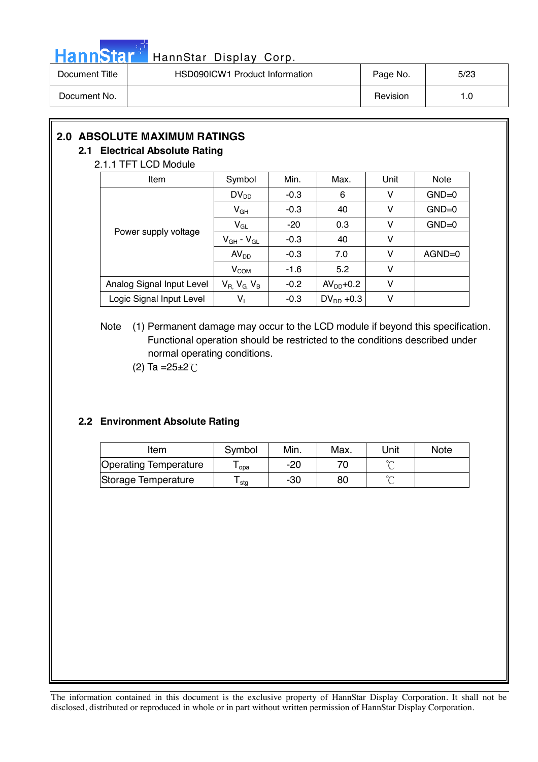

## HannStar<sup>#</sup> HannStar Display Corp.

| Document Title | HSD090ICW1 Product Information | Page No. | 5/23 |
|----------------|--------------------------------|----------|------|
| Document No.   |                                | Revision | 1.C  |

### **2.0 ABSOLUTE MAXIMUM RATINGS**

### **2.1 Electrical Absolute Rating**

### 2.1.1 TFT LCD Module

| Item                      | Symbol                      | Min.   | Max.           | Unit | Note     |
|---------------------------|-----------------------------|--------|----------------|------|----------|
|                           | $DV_{DD}$                   | $-0.3$ | 6              | ۷    | $GND=0$  |
|                           | $V_{GH}$                    | $-0.3$ | 40             | ۷    | $GND=0$  |
| Power supply voltage      | $V_{GL}$                    | $-20$  | 0.3            | ۷    | $GND=0$  |
|                           | $V_{GH}$ - $V_{GL}$         | $-0.3$ | 40             | ۷    |          |
|                           | AV <sub>DD</sub>            | $-0.3$ | 7.0            | ۷    | $AGND=0$ |
|                           | V <sub>COM</sub>            | $-1.6$ | 5.2            | ٧    |          |
| Analog Signal Input Level | $V_{R}$ , $V_{G}$ , $V_{B}$ | $-0.2$ | $AVDD+0.2$     | ٧    |          |
| Logic Signal Input Level  | $V_1$                       | $-0.3$ | $DV_{DD} +0.3$ | V    |          |

### Note (1) Permanent damage may occur to the LCD module if beyond this specification. Functional operation should be restricted to the conditions described under normal operating conditions.

(2) Ta = $25 \pm 2^{\circ}$ C

### **2.2 Environment Absolute Rating**

| Item                         | Symbol | Min. | Max. | 'Jnit  | <b>Note</b> |
|------------------------------|--------|------|------|--------|-------------|
| <b>Operating Temperature</b> | opa    | -20  |      | $\sim$ |             |
| Storage Temperature          | stg    | -30  | 80   | $\sim$ |             |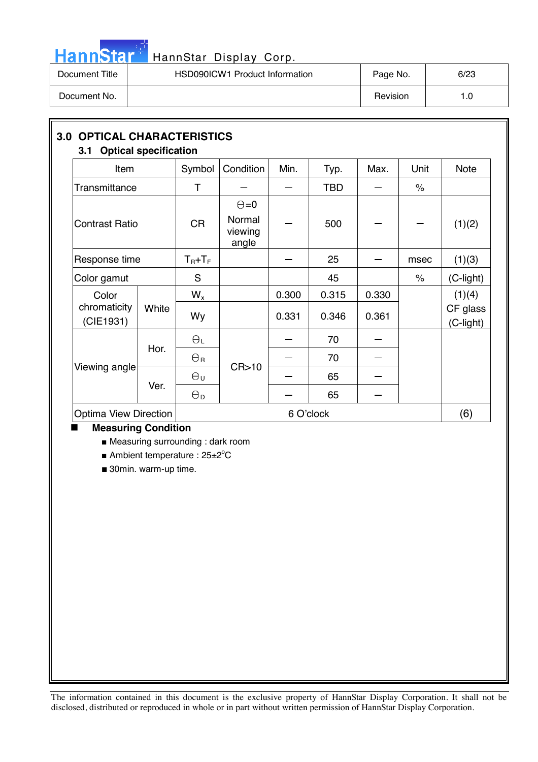

## HannStar<sup>t HannStar Display Corp.</sup>

| Document Title | <b>HSD090ICW1 Product Information</b> | Page No. | 6/23 |
|----------------|---------------------------------------|----------|------|
| Document No.   |                                       | Revision | 0. ، |

| Item                      |       | Symbol                | Condition                                  | Min.  | Typ.       | Max.      | Unit | <b>Note</b>           |  |  |  |
|---------------------------|-------|-----------------------|--------------------------------------------|-------|------------|-----------|------|-----------------------|--|--|--|
| Transmittance             |       | T                     |                                            |       | <b>TBD</b> |           | $\%$ |                       |  |  |  |
| <b>Contrast Ratio</b>     |       | <b>CR</b>             | $\Theta = 0$<br>Normal<br>viewing<br>angle |       | 500        |           |      | (1)(2)                |  |  |  |
| Response time             |       | $T_R + T_F$           |                                            |       | 25         |           | msec | (1)(3)                |  |  |  |
| Color gamut               |       | S                     |                                            |       | 45         |           | $\%$ | (C-light)             |  |  |  |
| Color                     |       | $W_{x}$               |                                            | 0.300 | 0.315      | 0.330     |      | (1)(4)                |  |  |  |
| chromaticity<br>(CIE1931) | White | Wy                    |                                            | 0.331 | 0.346      | 0.361     |      | CF glass<br>(C-light) |  |  |  |
|                           |       | $\Theta_L$            |                                            |       | 70         |           |      |                       |  |  |  |
|                           | Hor.  | $\Theta$ r            |                                            |       | 70         |           |      |                       |  |  |  |
| Viewing angle             |       | $\Theta_{\sf U}$      | CR > 10                                    |       | 65         |           |      |                       |  |  |  |
|                           | Ver.  | $\Theta_{\mathsf{D}}$ |                                            |       | 65         |           |      |                       |  |  |  |
| Optima View Direction     |       |                       |                                            |       |            | 6 O'clock |      |                       |  |  |  |

■ Measuring surrounding : dark room

Ambient temperature :  $25\pm2^{\circ}$ C

■ 30min. warm-up time.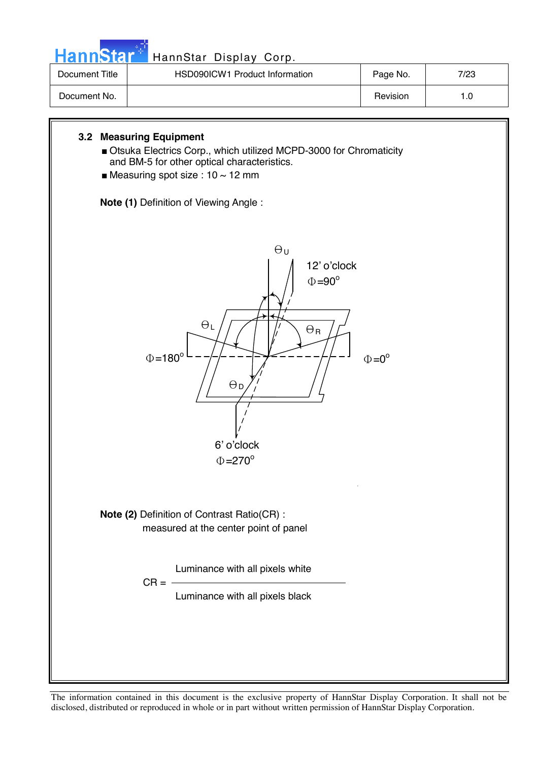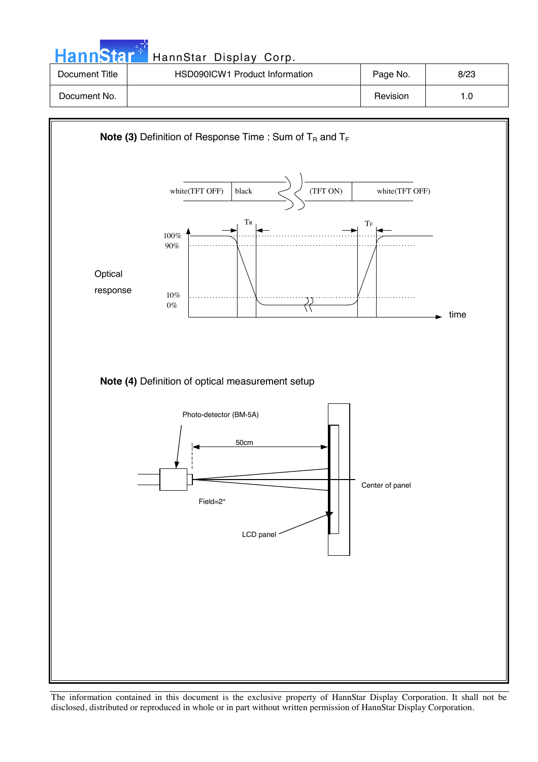| <b>HannStar</b> | HannStar Display Corp.         |          |      |
|-----------------|--------------------------------|----------|------|
| Document Title  | HSD090ICW1 Product Information | Page No. | 8/23 |
| Document No.    |                                | Revision | 1.0  |

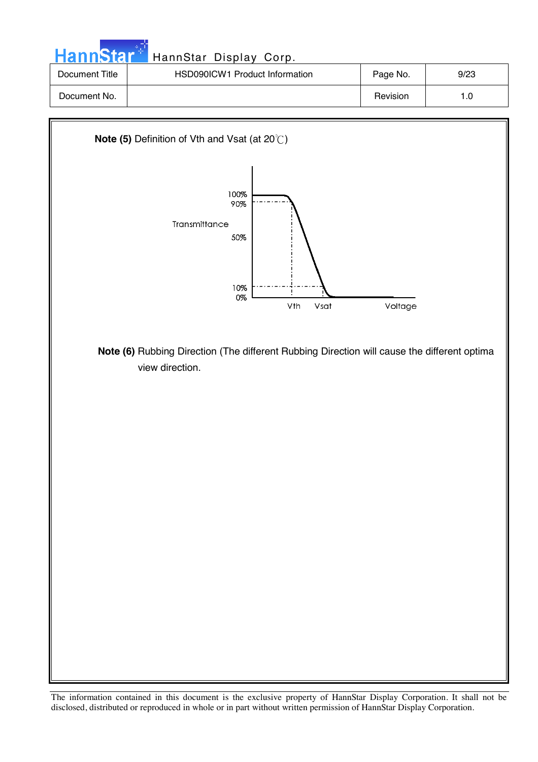| HannStar <sup>++</sup>                                        | HannStar Display Corp.         |          |      |  |
|---------------------------------------------------------------|--------------------------------|----------|------|--|
| Document Title                                                | HSD090ICW1 Product Information | Page No. | 9/23 |  |
| Document No.                                                  |                                | Revision | 1.0  |  |
| <b>Note (5)</b> Definition of Vth and Vsat (at $20^{\circ}$ ) |                                |          |      |  |



 **Note (6)** Rubbing Direction (The different Rubbing Direction will cause the different optima view direction.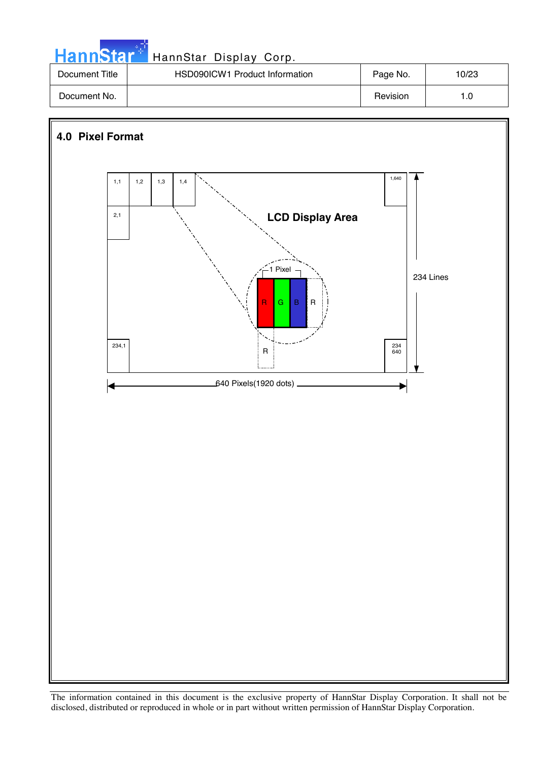| <b>HannStar</b> * | HannStar Display Corp.         |          |       |
|-------------------|--------------------------------|----------|-------|
| Document Title    | HSD090ICW1 Product Information | Page No. | 10/23 |
| Document No.      |                                | Revision | 1.0   |

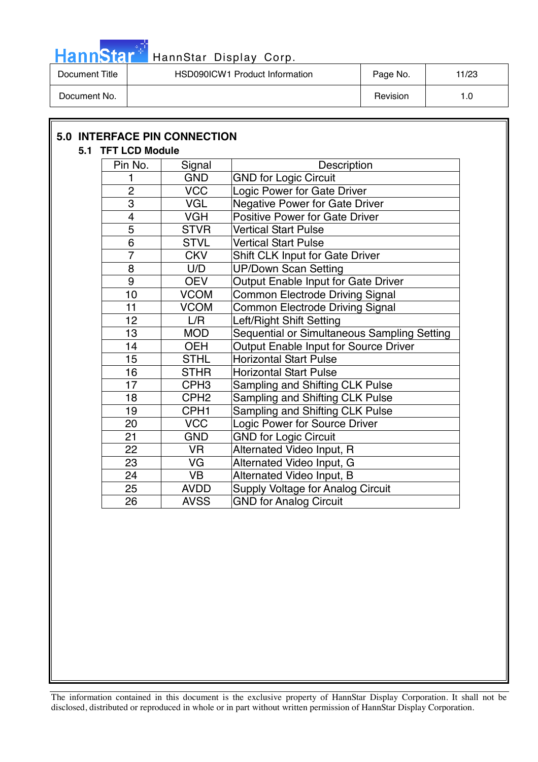

| Document Title | HSD090ICW1 Product Information | Page No. | 11/23 |
|----------------|--------------------------------|----------|-------|
| Document No.   |                                | Revision |       |

| 5.1 TFT LCD Module |                  |                                             |
|--------------------|------------------|---------------------------------------------|
| Pin No.            | Signal           | Description                                 |
| 1                  | <b>GND</b>       | <b>GND for Logic Circuit</b>                |
| $\overline{2}$     | <b>VCC</b>       | Logic Power for Gate Driver                 |
| 3                  | <b>VGL</b>       | <b>Negative Power for Gate Driver</b>       |
| 4                  | <b>VGH</b>       | <b>Positive Power for Gate Driver</b>       |
| 5                  | <b>STVR</b>      | <b>Vertical Start Pulse</b>                 |
| $\overline{6}$     | <b>STVL</b>      | <b>Vertical Start Pulse</b>                 |
| $\overline{7}$     | <b>CKV</b>       | Shift CLK Input for Gate Driver             |
| 8                  | U/D              | <b>UP/Down Scan Setting</b>                 |
| 9                  | <b>OEV</b>       | Output Enable Input for Gate Driver         |
| 10                 | <b>VCOM</b>      | <b>Common Electrode Driving Signal</b>      |
| 11                 | <b>VCOM</b>      | Common Electrode Driving Signal             |
| 12                 | L/R              | Left/Right Shift Setting                    |
| 13                 | <b>MOD</b>       | Sequential or Simultaneous Sampling Setting |
| 14                 | <b>OEH</b>       | Output Enable Input for Source Driver       |
| 15                 | <b>STHL</b>      | <b>Horizontal Start Pulse</b>               |
| 16                 | <b>STHR</b>      | <b>Horizontal Start Pulse</b>               |
| 17                 | CPH <sub>3</sub> | Sampling and Shifting CLK Pulse             |
| 18                 | CPH <sub>2</sub> | Sampling and Shifting CLK Pulse             |
| 19                 | CPH <sub>1</sub> | Sampling and Shifting CLK Pulse             |
| 20                 | <b>VCC</b>       | Logic Power for Source Driver               |
| 21                 | <b>GND</b>       | <b>GND for Logic Circuit</b>                |
| 22                 | <b>VR</b>        | Alternated Video Input, R                   |
| 23                 | VG               | Alternated Video Input, G                   |
| 24                 | <b>VB</b>        | Alternated Video Input, B                   |
| 25                 | <b>AVDD</b>      | <b>Supply Voltage for Analog Circuit</b>    |
| 26                 | <b>AVSS</b>      | <b>GND for Analog Circuit</b>               |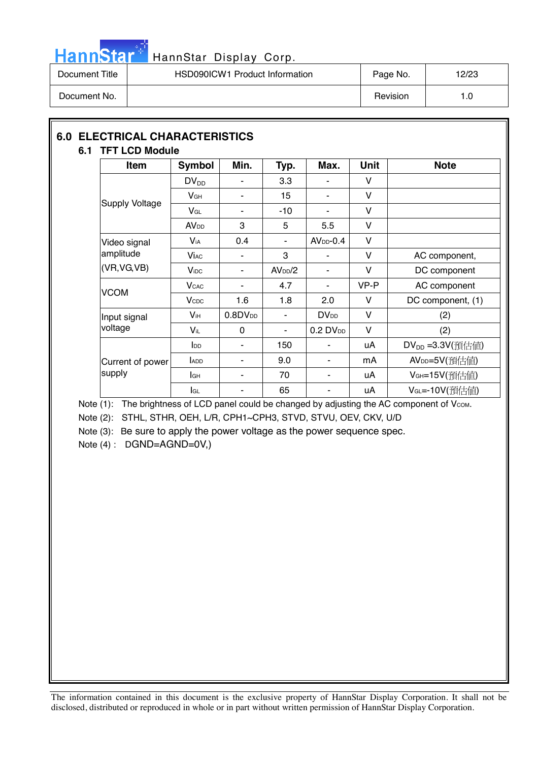

| Document Title | HSD090ICW1 Product Information | Page No. | 12/23 |
|----------------|--------------------------------|----------|-------|
| Document No.   |                                | Revision | 1.0   |

### **6.0 ELECTRICAL CHARACTERISTICS 6.1 TFT LCD Module**

| <b>Item</b>           | <b>Symbol</b>            | Min.             | Typ.                | Max.                   | <b>Unit</b> | <b>Note</b>                  |
|-----------------------|--------------------------|------------------|---------------------|------------------------|-------------|------------------------------|
|                       | $DV_{DD}$                |                  | 3.3                 |                        | ۷           |                              |
|                       | $V$ GH                   | ۰                | 15                  | ۰                      | V           |                              |
| <b>Supply Voltage</b> | $V_{GL}$                 |                  | $-10$               |                        | v           |                              |
|                       | <b>AV</b> <sub>DD</sub>  | 3                | 5                   | 5.5                    | v           |                              |
| Video signal          | <b>V</b> <sub>iA</sub>   | 0.4              |                     | $AVDD-0.4$             | V           |                              |
| amplitude             | <b>Vi</b> ac             |                  | 3                   |                        | v           | AC component,                |
| (VR, VG, VB)          | <b>V</b> i <sub>DC</sub> | ٠                | AV <sub>DD</sub> /2 |                        | v           | DC component                 |
| <b>VCOM</b>           | <b>V</b> <sub>CAC</sub>  | ۰                | 4.7                 | ٠                      | VP-P        | AC component                 |
|                       | <b>V</b> <sub>CDC</sub>  | 1.6              | 1.8                 | 2.0                    | V           | DC component, (1)            |
| Input signal          | <b>V</b> ih              | $0.8$ D $V_{DD}$ |                     | <b>DV<sub>DD</sub></b> | V           | (2)                          |
| voltage               | $V_{iL}$                 | 0                | ۰                   | $0.2$ DV <sub>DD</sub> | V           | (2)                          |
|                       | $I_{DD}$                 | ۰                | 150                 |                        | uA          | DV <sub>DD</sub> = 3.3V(預估值) |
| Current of power      | ADD                      | ۰                | 9.0                 | ۰                      | mA          | AV <sub>DD</sub> =5V(預估値)    |
| supply                | lсн                      |                  | 70                  |                        | uA          | VGH=15V(預估値)                 |
|                       | lgL                      | ۰                | 65                  |                        | uA          | VGL=-10V(預估值)                |

Note (1): The brightness of LCD panel could be changed by adjusting the AC component of Vcom.

Note (2): STHL, STHR, OEH, L/R, CPH1~CPH3, STVD, STVU, OEV, CKV, U/D

Note (3): Be sure to apply the power voltage as the power sequence spec.

Note (4) : DGND=AGND=0V,)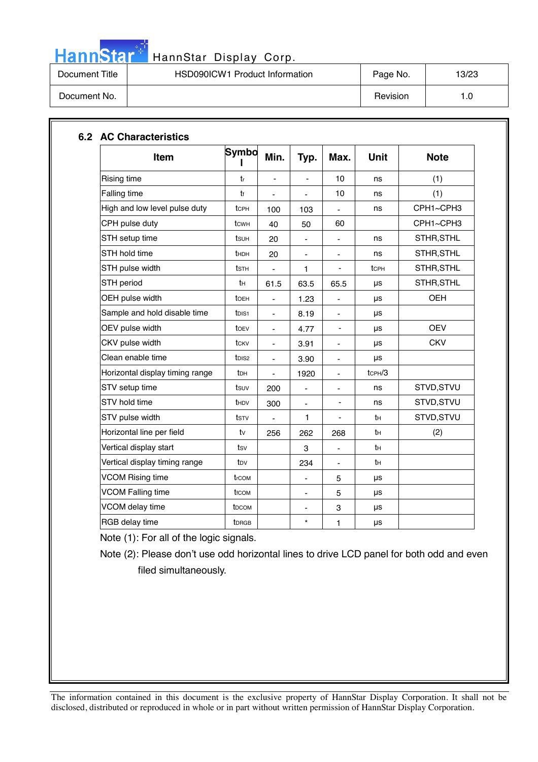

| Document Title | HSD090ICW1 Product Information | Page No. | 13/23 |
|----------------|--------------------------------|----------|-------|
| Document No.   |                                | Revision | 1.0   |

| Item                            | <b>Symbo</b>       | Min.                         | Typ.                         | Max.                     | <b>Unit</b>         | <b>Note</b> |
|---------------------------------|--------------------|------------------------------|------------------------------|--------------------------|---------------------|-------------|
| Rising time                     | tr                 | $\frac{1}{2}$                |                              | 10                       | ns                  | (1)         |
| Falling time                    | tf                 | $\overline{\phantom{0}}$     |                              | 10                       | ns                  | (1)         |
| High and low level pulse duty   | tcph               | 100                          | 103                          |                          | ns                  | CPH1~CPH3   |
| CPH pulse duty                  | tcwh               | 40                           | 50                           | 60                       |                     | CPH1~CPH3   |
| STH setup time                  | tsuh               | 20                           | $\overline{\phantom{a}}$     | ä,                       | ns                  | STHR, STHL  |
| STH hold time                   | thdh               | 20                           | $\overline{\phantom{a}}$     | $\overline{\phantom{a}}$ | ns                  | STHR, STHL  |
| STH pulse width                 | tsth               | -                            | 1                            |                          | tcpH                | STHR, STHL  |
| STH period                      | tн                 | 61.5                         | 63.5                         | 65.5                     | μs                  | STHR, STHL  |
| OEH pulse width                 | toeh               | ÷,                           | 1.23                         | $\blacksquare$           | μs                  | <b>OEH</b>  |
| Sample and hold disable time    | t <sub>DIS1</sub>  | $\qquad \qquad \blacksquare$ | 8.19                         | $\overline{\phantom{a}}$ | μs                  |             |
| OEV pulse width                 | toev               | $\overline{\phantom{a}}$     | 4.77                         | $\overline{\phantom{a}}$ | μs                  | <b>OEV</b>  |
| CKV pulse width                 | tcky               |                              | 3.91                         |                          | μs                  | <b>CKV</b>  |
| Clean enable time               | t <sub>DIS2</sub>  | $\overline{\phantom{a}}$     | 3.90                         | $\blacksquare$           | μs                  |             |
| Horizontal display timing range | t <sub>DH</sub>    | $\frac{1}{2}$                | 1920                         | $\blacksquare$           | tc <sub>PH</sub> /3 |             |
| STV setup time                  | tsuv               | 200                          | $\qquad \qquad \blacksquare$ | $\blacksquare$           | ns                  | STVD, STVU  |
| STV hold time                   | t <sub>HDV</sub>   | 300                          | $\qquad \qquad \blacksquare$ | $\overline{\phantom{0}}$ | ns                  | STVD, STVU  |
| STV pulse width                 | tstv               | $\overline{\phantom{0}}$     | $\mathbf{1}$                 |                          | tн                  | STVD, STVU  |
| Horizontal line per field       | tv                 | 256                          | 262                          | 268                      | tн                  | (2)         |
| Vertical display start          | tsv                |                              | 3                            | $\blacksquare$           | tн                  |             |
| Vertical display timing range   | tov                |                              | 234                          | $\blacksquare$           | tн                  |             |
| <b>VCOM Rising time</b>         | trcom              |                              |                              | 5                        | μs                  |             |
| <b>VCOM Falling time</b>        | t <sub>f</sub> com |                              | ٠                            | 5                        | μs                  |             |
| VCOM delay time                 | t <sub>DCOM</sub>  |                              | $\overline{\phantom{0}}$     | 3                        | μs                  |             |
| RGB delay time                  | <b>t</b> DRGB      |                              | $\star$                      | 1                        | μs                  |             |

Note (1): For all of the logic signals.

Note (2): Please don't use odd horizontal lines to drive LCD panel for both odd and even filed simultaneously.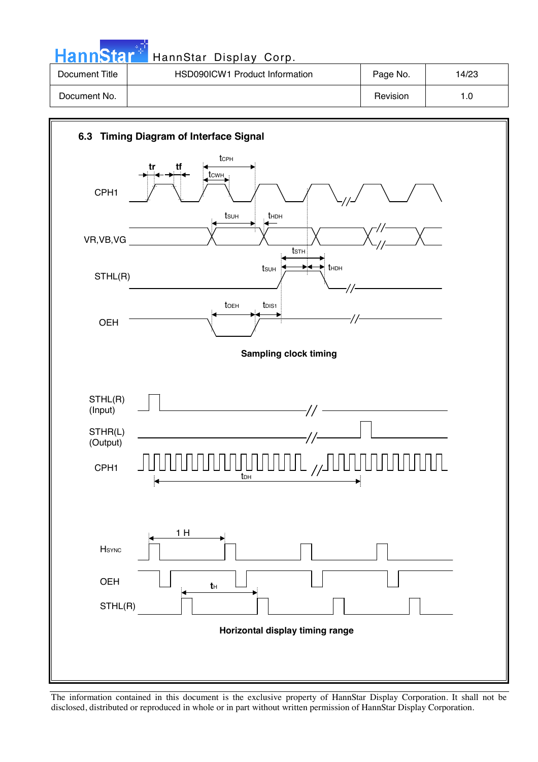| HannStar <sup>+</sup> | HannStar Display Corp.         |          |       |
|-----------------------|--------------------------------|----------|-------|
| Document Title        | HSD090ICW1 Product Information | Page No. | 14/23 |
| Document No.          |                                | Revision | 1.0   |

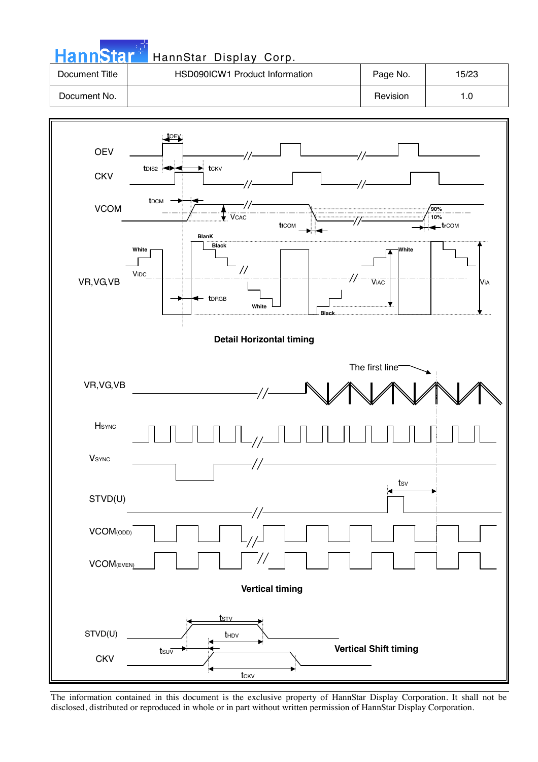| HannStar <sup>+</sup> | HannStar Display Corp.         |          |       |
|-----------------------|--------------------------------|----------|-------|
| Document Title        | HSD090ICW1 Product Information | Page No. | 15/23 |
| Document No.          |                                | Revision | 1.0   |

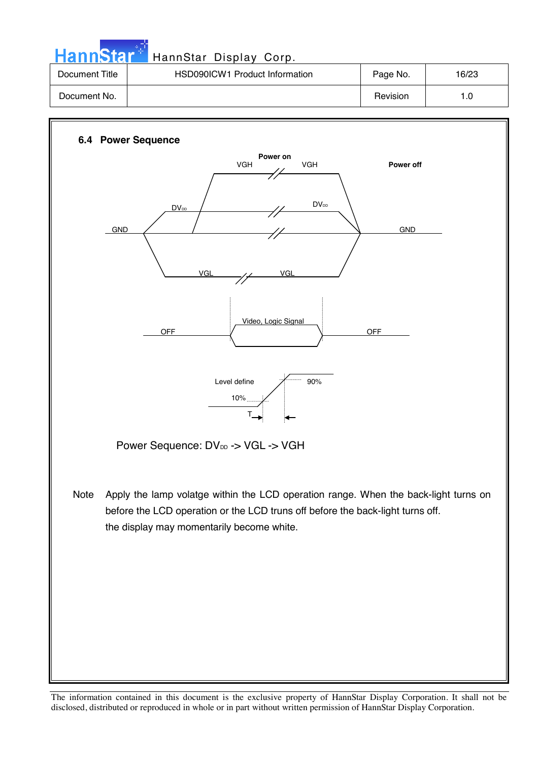Hann Star<sup>: T</sup> HannStar Display Corp.

| Document Title | HSD090ICW1 Product Information | Page No. | 16/23 |
|----------------|--------------------------------|----------|-------|
| Document No.   |                                | Revision |       |

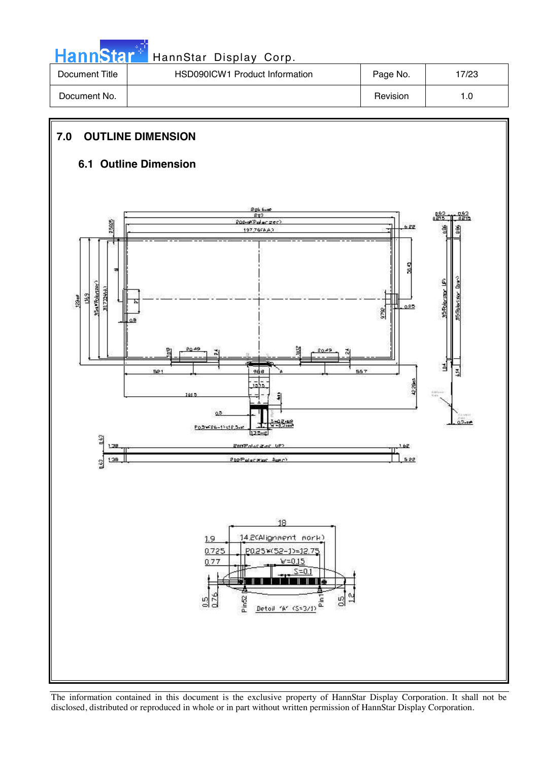| <b>HannStar</b> * | HannStar Display Corp.         |          |       |
|-------------------|--------------------------------|----------|-------|
| Document Title    | HSD090ICW1 Product Information | Page No. | 17/23 |
| Document No.      |                                | Revision | 1.0   |

### **7.0 OUTLINE DIMENSION**

### **6.1 Outline Dimension**

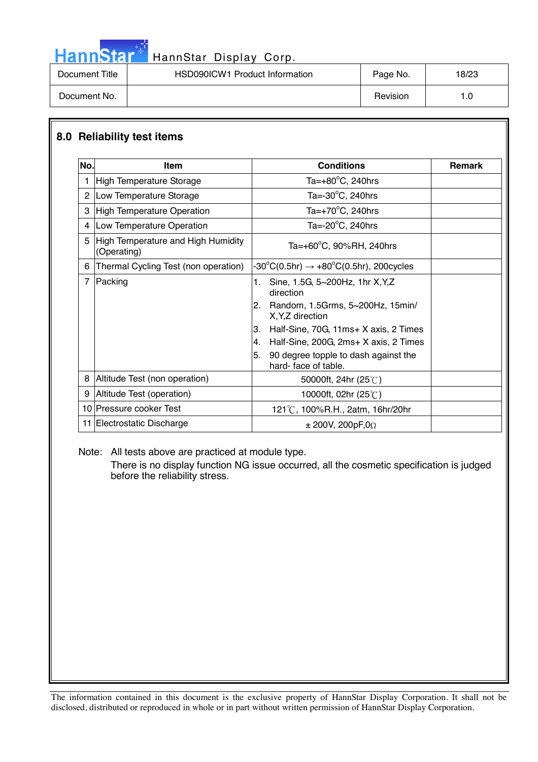## HannStar<sup>t H</sup> HannStar Display Corp.

| Document Title | HSD090ICW1 Product Information | Page No. | 18/23 |
|----------------|--------------------------------|----------|-------|
| Document No.   |                                | Revision | l .C  |

### **8.0 Reliability test items**

| No.            | <b>Item</b>                                       | <b>Conditions</b>                                                 | <b>Remark</b> |
|----------------|---------------------------------------------------|-------------------------------------------------------------------|---------------|
| 1              | High Temperature Storage                          | Ta= $+80^{\circ}$ C, 240hrs                                       |               |
| $\overline{2}$ | Low Temperature Storage                           | Ta= $-30^{\circ}$ C, 240hrs                                       |               |
| 3              | High Temperature Operation                        | Ta= $+70^{\circ}$ C, 240hrs                                       |               |
| 4              | Low Temperature Operation                         | Ta= $-20^{\circ}$ C, 240hrs                                       |               |
| 5              | High Temperature and High Humidity<br>(Operating) | Ta=+60°C, 90%RH, 240hrs                                           |               |
| 6              | Thermal Cycling Test (non operation)              | -30°C(0.5hr) $\rightarrow$ +80°C(0.5hr), 200cycles                |               |
| $\overline{7}$ | Packing                                           | 1.<br>Sine, 1.5G, 5~200Hz, 1hr X, Y, Z<br>direction               |               |
|                |                                                   | Random, 1.5Grms, 5~200Hz, 15min/<br>2.<br>X, Y, Z direction       |               |
|                |                                                   | Half-Sine, 70G, 11ms+ X axis, 2 Times<br>3.                       |               |
|                |                                                   | Half-Sine, 200G, 2ms+ X axis, 2 Times<br>4.                       |               |
|                |                                                   | 5.<br>90 degree topple to dash against the<br>hard-face of table. |               |
| 8              | Altitude Test (non operation)                     | 50000ft, 24hr $(25^{\circ}$ C)                                    |               |
| 9              | Altitude Test (operation)                         | 10000ft, 02hr (25°C)                                              |               |
|                | 10 Pressure cooker Test                           | 121°C, 100%R.H., 2atm, 16hr/20hr                                  |               |
|                | 11 Electrostatic Discharge                        | $\pm$ 200V, 200pF,0 $\Omega$                                      |               |

Note: All tests above are practiced at module type.

There is no display function NG issue occurred, all the cosmetic specification is judged before the reliability stress.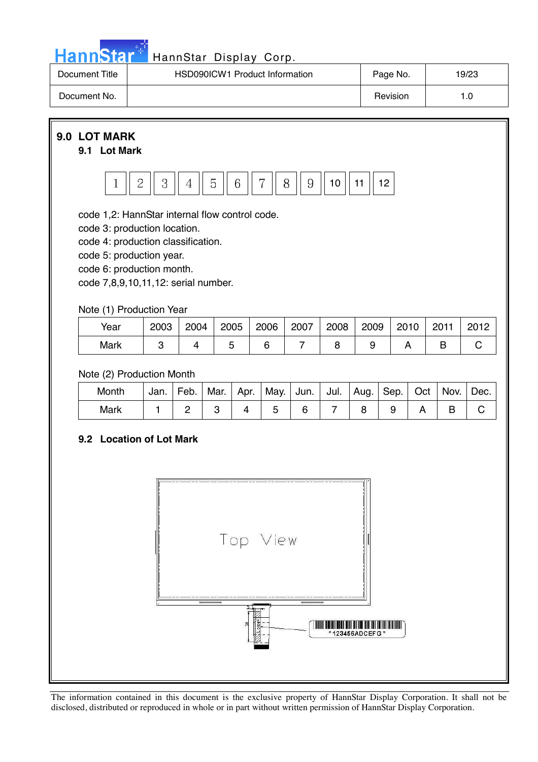

## HannStar<sup>t HannStar</sup> Display Corp.

| Document Title | <b>HSD090ICW1 Product Information</b> | Page No. | 19/23 |
|----------------|---------------------------------------|----------|-------|
| Document No.   |                                       | Revision |       |

### **9.0 LOT MARK**

#### **9.1 Lot Mark**



code 1,2: HannStar internal flow control code.

code 3: production location.

code 4: production classification.

code 5: production year.

code 6: production month.

code 7,8,9,10,11,12: serial number.

### Note (1) Production Year

| Year | 2003 | 2004 | 2005 | 2006 | 2007 | 2008 | 2009 | 2010 | 2011 | 2012 |
|------|------|------|------|------|------|------|------|------|------|------|
| Mark |      |      |      |      |      |      |      |      |      |      |

### Note (2) Production Month

| Month | Jan. | Feb. |  | Mar.   Apr.   May.   Jun.   Jul.   Aug.   Sep.   Oct   Nov. |  |  | $\blacksquare$ Dec. |
|-------|------|------|--|-------------------------------------------------------------|--|--|---------------------|
| Mark  |      |      |  |                                                             |  |  |                     |

### **9.2 Location of Lot Mark**

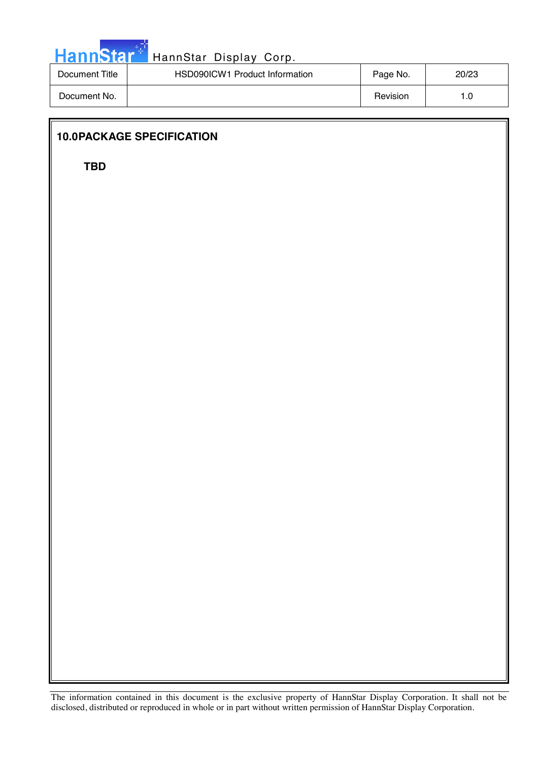

| Document Title | HSD090ICW1 Product Information | Page No. | 20/23 |
|----------------|--------------------------------|----------|-------|
| Document No.   |                                | Revision | 0. ا  |

### **10.0 PACKAGE SPECIFICATION**

**TBD**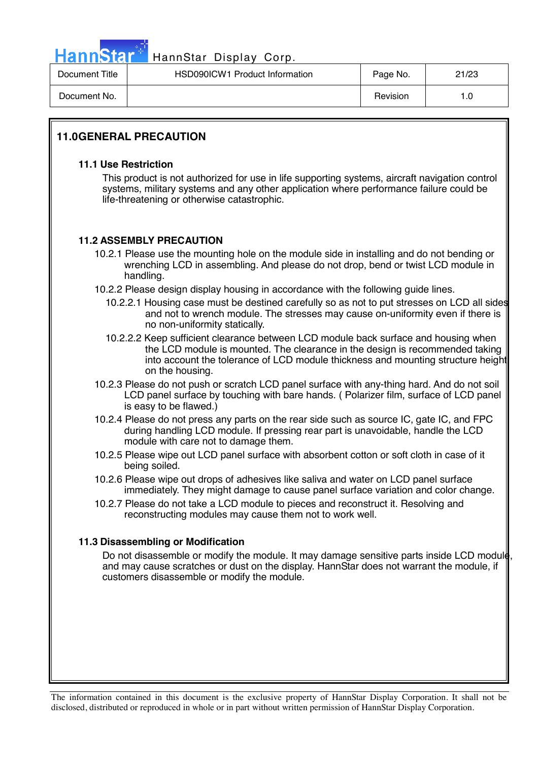

### HannStar Display Corp.

| Document Title | HSD090ICW1 Product Information | Page No. | 21/23 |
|----------------|--------------------------------|----------|-------|
| Document No.   |                                | Revision |       |

### **11.0 GENERAL PRECAUTION**

#### **11.1 Use Restriction**

This product is not authorized for use in life supporting systems, aircraft navigation control systems, military systems and any other application where performance failure could be life-threatening or otherwise catastrophic.

### **11.2 ASSEMBLY PRECAUTION**

- 10.2.1 Please use the mounting hole on the module side in installing and do not bending or wrenching LCD in assembling. And please do not drop, bend or twist LCD module in handling.
- 10.2.2 Please design display housing in accordance with the following guide lines.
	- 10.2.2.1 Housing case must be destined carefully so as not to put stresses on LCD all sides and not to wrench module. The stresses may cause on-uniformity even if there is no non-uniformity statically.
	- 10.2.2.2 Keep sufficient clearance between LCD module back surface and housing when the LCD module is mounted. The clearance in the design is recommended taking into account the tolerance of LCD module thickness and mounting structure height on the housing.
- 10.2.3 Please do not push or scratch LCD panel surface with any-thing hard. And do not soil LCD panel surface by touching with bare hands. ( Polarizer film, surface of LCD panel is easy to be flawed.)
- 10.2.4 Please do not press any parts on the rear side such as source IC, gate IC, and FPC during handling LCD module. If pressing rear part is unavoidable, handle the LCD module with care not to damage them.
- 10.2.5 Please wipe out LCD panel surface with absorbent cotton or soft cloth in case of it being soiled.
- 10.2.6 Please wipe out drops of adhesives like saliva and water on LCD panel surface immediately. They might damage to cause panel surface variation and color change.
- 10.2.7 Please do not take a LCD module to pieces and reconstruct it. Resolving and reconstructing modules may cause them not to work well.

### **11.3 Disassembling or Modification**

Do not disassemble or modify the module. It may damage sensitive parts inside LCD module and may cause scratches or dust on the display. HannStar does not warrant the module, if customers disassemble or modify the module.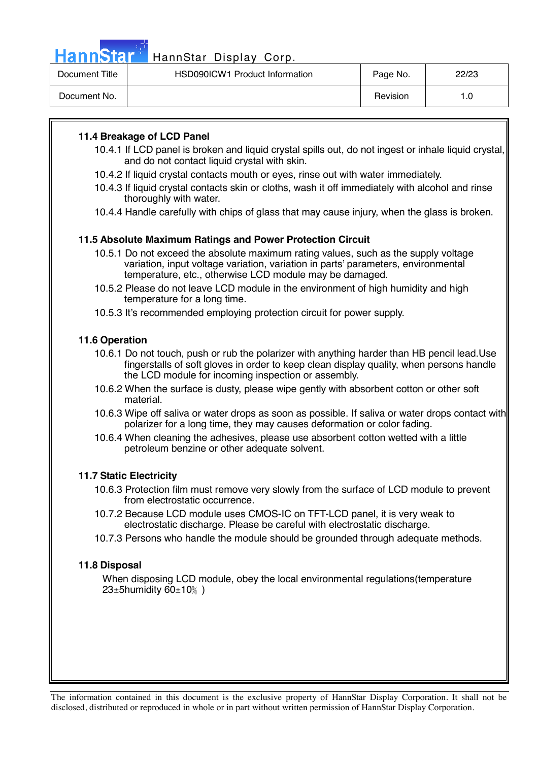HannStar<sup>®</sup>

### HannStar Display Corp.

| Document Title | HSD090ICW1 Product Information | Page No. | 22/23 |
|----------------|--------------------------------|----------|-------|
| Document No.   |                                | Revision |       |

### **11.4 Breakage of LCD Panel**

- 10.4.1 If LCD panel is broken and liquid crystal spills out, do not ingest or inhale liquid crystal, and do not contact liquid crystal with skin.
- 10.4.2 If liquid crystal contacts mouth or eyes, rinse out with water immediately.
- 10.4.3 If liquid crystal contacts skin or cloths, wash it off immediately with alcohol and rinse thoroughly with water.
- 10.4.4 Handle carefully with chips of glass that may cause injury, when the glass is broken.

### **11.5 Absolute Maximum Ratings and Power Protection Circuit**

- 10.5.1 Do not exceed the absolute maximum rating values, such as the supply voltage variation, input voltage variation, variation in parts' parameters, environmental temperature, etc., otherwise LCD module may be damaged.
- 10.5.2 Please do not leave LCD module in the environment of high humidity and high temperature for a long time.
- 10.5.3 It's recommended employing protection circuit for power supply.

### **11.6 Operation**

- 10.6.1 Do not touch, push or rub the polarizer with anything harder than HB pencil lead.Use fingerstalls of soft gloves in order to keep clean display quality, when persons handle the LCD module for incoming inspection or assembly.
- 10.6.2 When the surface is dusty, please wipe gently with absorbent cotton or other soft material.
- 10.6.3 Wipe off saliva or water drops as soon as possible. If saliva or water drops contact with polarizer for a long time, they may causes deformation or color fading.
- 10.6.4 When cleaning the adhesives, please use absorbent cotton wetted with a little petroleum benzine or other adequate solvent.

#### **11.7 Static Electricity**

- 10.6.3 Protection film must remove very slowly from the surface of LCD module to prevent from electrostatic occurrence.
- 10.7.2 Because LCD module uses CMOS-IC on TFT-LCD panel, it is very weak to electrostatic discharge. Please be careful with electrostatic discharge.
- 10.7.3 Persons who handle the module should be grounded through adequate methods.

#### **11.8 Disposal**

When disposing LCD module, obey the local environmental regulations(temperature  $23\pm5$ humidity  $60\pm10\%$ )